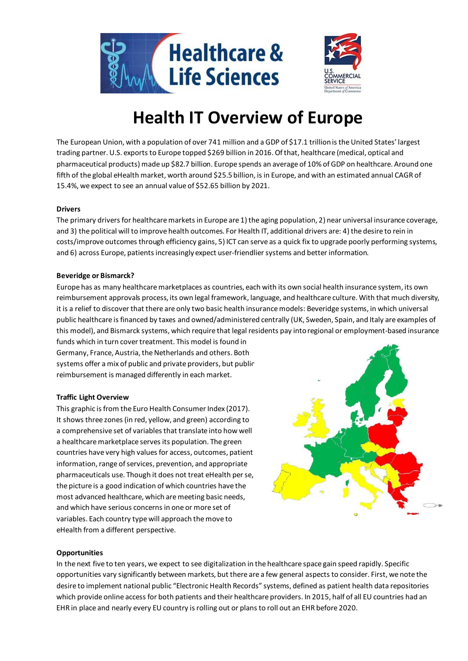

# **Health IT Overview of Europe**

The European Union, with a population of over 741 million and a GDP of \$17.1 trillion is the United States' largest trading partner. U.S. exports to Europe topped \$269 billion in 2016. Of that, healthcare (medical, optical and pharmaceutical products) made up \$82.7 billion. Europe spends an average of 10% of GDP on healthcare. Around one fifth of the global eHealth market, worth around \$25.5 billion, is in Europe, and with an estimated annual CAGR of 15.4%, we expect to see an annual value of \$52.65 billion by 2021.

# **Drivers**

The primary drivers for healthcare markets in Europe are 1) the aging population, 2) near universal insurance coverage, and 3) the political will to improve health outcomes. For Health IT, additional drivers are: 4) the desire to rein in costs/improve outcomes through efficiency gains, 5) ICT can serve as a quick fix to upgrade poorly performing systems, and 6) across Europe, patients increasingly expect user-friendlier systems and better information.

# **Beveridge or Bismarck?**

Europe has as many healthcare marketplaces as countries, each with its own social health insurance system, its own reimbursement approvals process, its own legal framework, language, and healthcare culture. With that much diversity, it is a relief to discover that there are only two basic health insurance models: Beveridge systems, in which universal public healthcare is financed by taxes and owned/administered centrally (UK, Sweden, Spain, and Italy are examples of this model), and Bismarck systems, which require that legal residents pay into regional or employment-based insurance funds which in turn cover treatment. This model is found in

Germany, France, Austria, the Netherlands and others. Both systems offer a mix of public and private providers, but public reimbursement is managed differently in each market.

# **Traffic Light Overview**

This graphic is from the Euro Health Consumer Index (2017). It shows three zones (in red, yellow, and green) according to a comprehensive set of variables that translate into how well a healthcare marketplace serves its population. The green countries have very high values for access, outcomes, patient information, range of services, prevention, and appropriate pharmaceuticals use. Though it does not treat eHealth per se, the picture is a good indication of which countries have the most advanced healthcare, which are meeting basic needs, and which have serious concerns in one or more set of variables. Each country type will approach the move to eHealth from a different perspective.



# **Opportunities**

In the next five to ten years, we expect to see digitalization in the healthcare space gain speed rapidly. Specific opportunities vary significantly between markets, but there are a few general aspects to consider. First, we note the desire to implement national public "Electronic Health Records" systems, defined as patient health data repositories which provide online access for both patients and their healthcare providers. In 2015, half of all EU countries had an EHR in place and nearly every EU country is rolling out or plans to roll out an EHR before 2020.